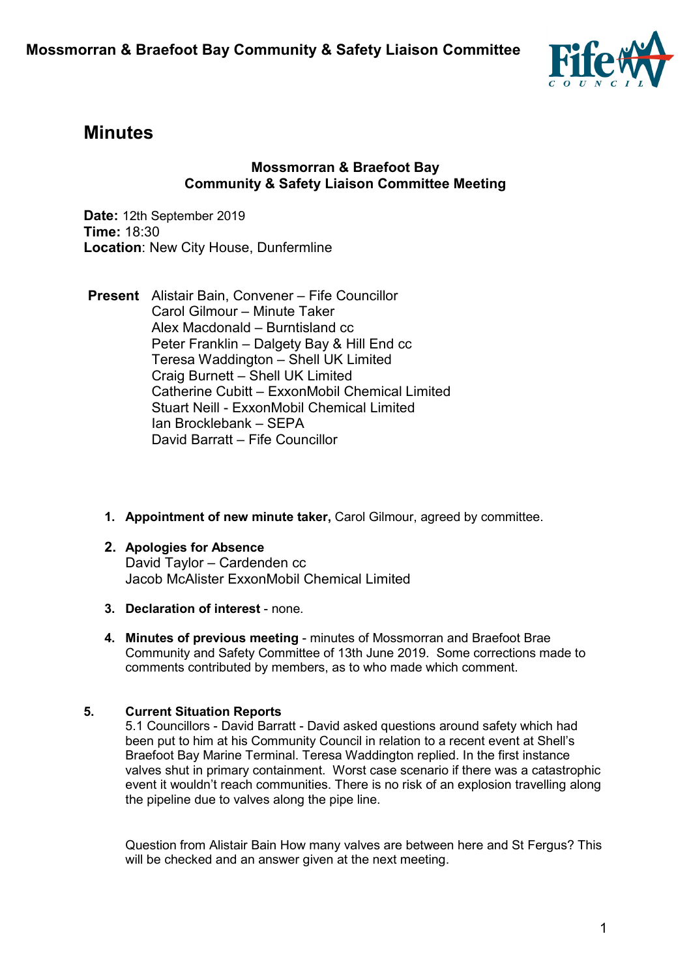

# **Minutes**

#### **Mossmorran & Braefoot Bay Community & Safety Liaison Committee Meeting**

**Date:** 12th September 2019 **Time:** 18:30 **Location**: New City House, Dunfermline

- **Present** Alistair Bain, Convener Fife Councillor Carol Gilmour – Minute Taker Alex Macdonald – Burntisland cc Peter Franklin – Dalgety Bay & Hill End cc Teresa Waddington – Shell UK Limited Craig Burnett – Shell UK Limited Catherine Cubitt – ExxonMobil Chemical Limited Stuart Neill - ExxonMobil Chemical Limited Ian Brocklebank – SEPA David Barratt – Fife Councillor
	- **1. Appointment of new minute taker,** Carol Gilmour, agreed by committee.
	- **2. Apologies for Absence**  David Taylor – Cardenden cc Jacob McAlister ExxonMobil Chemical Limited
	- **3. Declaration of interest** none.
	- **4. Minutes of previous meeting** minutes of Mossmorran and Braefoot Brae Community and Safety Committee of 13th June 2019. Some corrections made to comments contributed by members, as to who made which comment.

#### **5. Current Situation Reports**

5.1 Councillors - David Barratt - David asked questions around safety which had been put to him at his Community Council in relation to a recent event at Shell's Braefoot Bay Marine Terminal. Teresa Waddington replied. In the first instance valves shut in primary containment. Worst case scenario if there was a catastrophic event it wouldn't reach communities. There is no risk of an explosion travelling along the pipeline due to valves along the pipe line.

Question from Alistair Bain How many valves are between here and St Fergus? This will be checked and an answer given at the next meeting.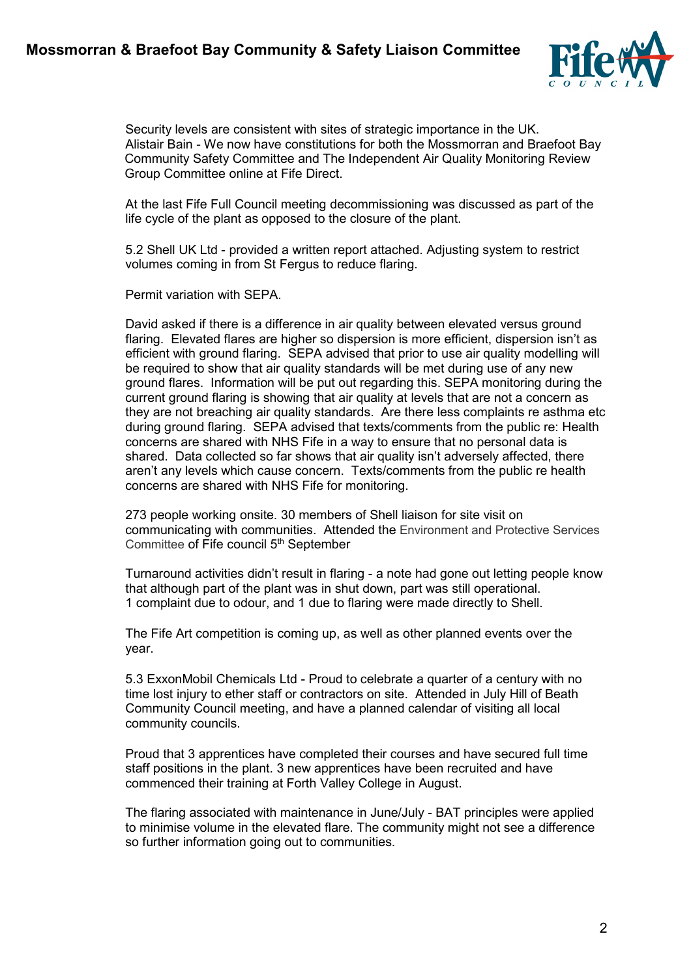## **Mossmorran & Braefoot Bay Community & Safety Liaison Committee**



Security levels are consistent with sites of strategic importance in the UK. Alistair Bain - We now have constitutions for both the Mossmorran and Braefoot Bay Community Safety Committee and The Independent Air Quality Monitoring Review Group Committee online at Fife Direct.

At the last Fife Full Council meeting decommissioning was discussed as part of the life cycle of the plant as opposed to the closure of the plant.

5.2 Shell UK Ltd - provided a written report attached. Adjusting system to restrict volumes coming in from St Fergus to reduce flaring.

Permit variation with SEPA.

David asked if there is a difference in air quality between elevated versus ground flaring. Elevated flares are higher so dispersion is more efficient, dispersion isn't as efficient with ground flaring. SEPA advised that prior to use air quality modelling will be required to show that air quality standards will be met during use of any new ground flares. Information will be put out regarding this. SEPA monitoring during the current ground flaring is showing that air quality at levels that are not a concern as they are not breaching air quality standards. Are there less complaints re asthma etc during ground flaring. SEPA advised that texts/comments from the public re: Health concerns are shared with NHS Fife in a way to ensure that no personal data is shared. Data collected so far shows that air quality isn't adversely affected, there aren't any levels which cause concern. Texts/comments from the public re health concerns are shared with NHS Fife for monitoring.

273 people working onsite. 30 members of Shell liaison for site visit on communicating with communities. Attended the Environment and Protective Services Committee of Fife council 5<sup>th</sup> September

Turnaround activities didn't result in flaring - a note had gone out letting people know that although part of the plant was in shut down, part was still operational. 1 complaint due to odour, and 1 due to flaring were made directly to Shell.

The Fife Art competition is coming up, as well as other planned events over the year.

5.3 ExxonMobil Chemicals Ltd - Proud to celebrate a quarter of a century with no time lost injury to ether staff or contractors on site. Attended in July Hill of Beath Community Council meeting, and have a planned calendar of visiting all local community councils.

Proud that 3 apprentices have completed their courses and have secured full time staff positions in the plant. 3 new apprentices have been recruited and have commenced their training at Forth Valley College in August.

The flaring associated with maintenance in June/July - BAT principles were applied to minimise volume in the elevated flare. The community might not see a difference so further information going out to communities.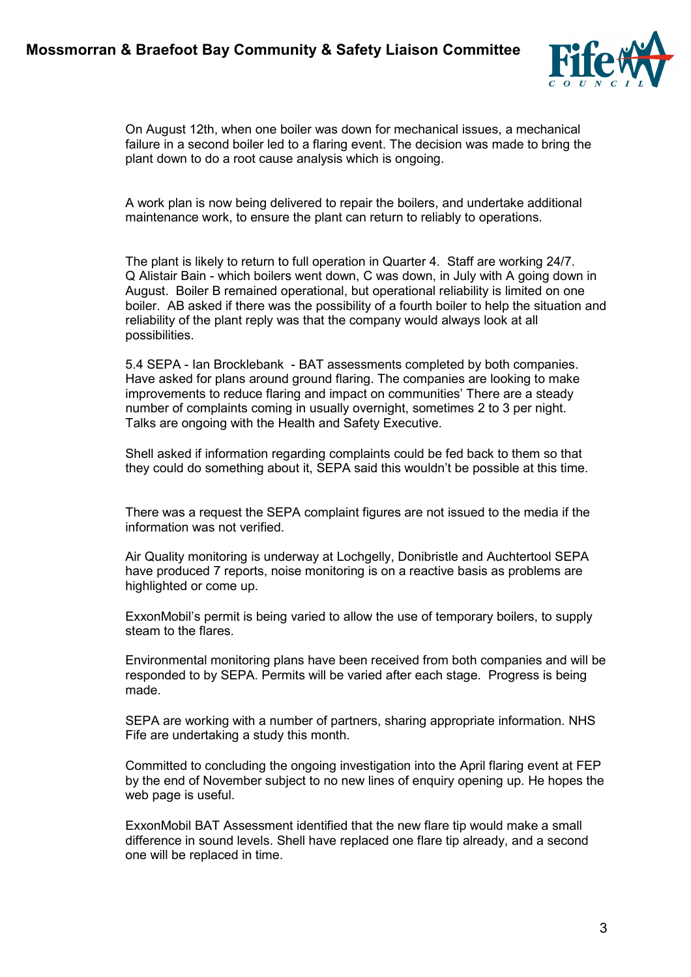

On August 12th, when one boiler was down for mechanical issues, a mechanical failure in a second boiler led to a flaring event. The decision was made to bring the plant down to do a root cause analysis which is ongoing.

A work plan is now being delivered to repair the boilers, and undertake additional maintenance work, to ensure the plant can return to reliably to operations.

The plant is likely to return to full operation in Quarter 4. Staff are working 24/7. Q Alistair Bain - which boilers went down, C was down, in July with A going down in August. Boiler B remained operational, but operational reliability is limited on one boiler. AB asked if there was the possibility of a fourth boiler to help the situation and reliability of the plant reply was that the company would always look at all possibilities.

5.4 SEPA - Ian Brocklebank - BAT assessments completed by both companies. Have asked for plans around ground flaring. The companies are looking to make improvements to reduce flaring and impact on communities' There are a steady number of complaints coming in usually overnight, sometimes 2 to 3 per night. Talks are ongoing with the Health and Safety Executive.

Shell asked if information regarding complaints could be fed back to them so that they could do something about it, SEPA said this wouldn't be possible at this time.

There was a request the SEPA complaint figures are not issued to the media if the information was not verified.

Air Quality monitoring is underway at Lochgelly, Donibristle and Auchtertool SEPA have produced 7 reports, noise monitoring is on a reactive basis as problems are highlighted or come up.

ExxonMobil's permit is being varied to allow the use of temporary boilers, to supply steam to the flares.

Environmental monitoring plans have been received from both companies and will be responded to by SEPA. Permits will be varied after each stage. Progress is being made.

SEPA are working with a number of partners, sharing appropriate information. NHS Fife are undertaking a study this month.

Committed to concluding the ongoing investigation into the April flaring event at FEP by the end of November subject to no new lines of enquiry opening up. He hopes the web page is useful.

ExxonMobil BAT Assessment identified that the new flare tip would make a small difference in sound levels. Shell have replaced one flare tip already, and a second one will be replaced in time.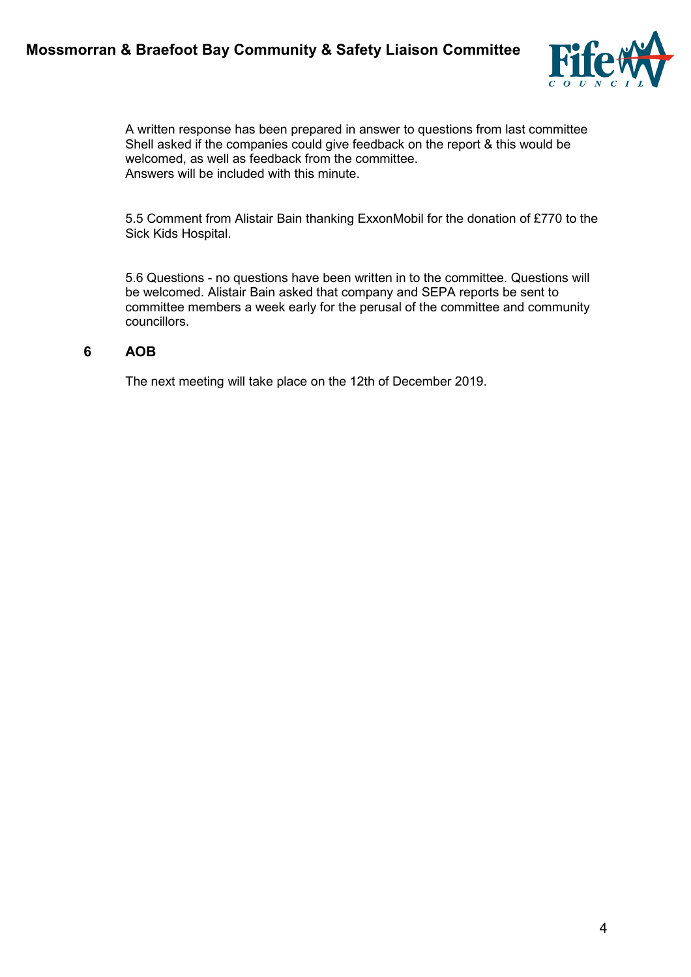

A written response has been prepared in answer to questions from last committee Shell asked if the companies could give feedback on the report & this would be welcomed, as well as feedback from the committee. Answers will be included with this minute.

5.5 Comment from Alistair Bain thanking ExxonMobil for the donation of £770 to the Sick Kids Hospital.

5.6 Questions - no questions have been written in to the committee. Questions will be welcomed. Alistair Bain asked that company and SEPA reports be sent to committee members a week early for the perusal of the committee and community councillors.

#### **6 AOB**

The next meeting will take place on the 12th of December 2019.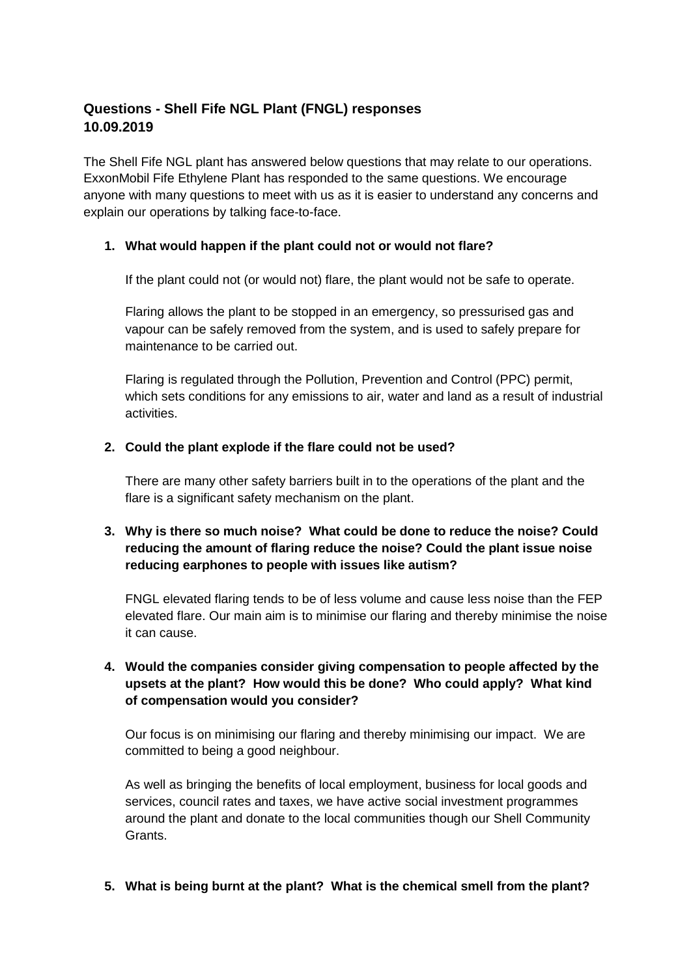## **Questions - Shell Fife NGL Plant (FNGL) responses 10.09.2019**

The Shell Fife NGL plant has answered below questions that may relate to our operations. ExxonMobil Fife Ethylene Plant has responded to the same questions. We encourage anyone with many questions to meet with us as it is easier to understand any concerns and explain our operations by talking face-to-face.

#### **1. What would happen if the plant could not or would not flare?**

If the plant could not (or would not) flare, the plant would not be safe to operate.

Flaring allows the plant to be stopped in an emergency, so pressurised gas and vapour can be safely removed from the system, and is used to safely prepare for maintenance to be carried out.

Flaring is regulated through the Pollution, Prevention and Control (PPC) permit, which sets conditions for any emissions to air, water and land as a result of industrial activities.

#### **2. Could the plant explode if the flare could not be used?**

There are many other safety barriers built in to the operations of the plant and the flare is a significant safety mechanism on the plant.

### **3. Why is there so much noise? What could be done to reduce the noise? Could reducing the amount of flaring reduce the noise? Could the plant issue noise reducing earphones to people with issues like autism?**

FNGL elevated flaring tends to be of less volume and cause less noise than the FEP elevated flare. Our main aim is to minimise our flaring and thereby minimise the noise it can cause.

#### **4. Would the companies consider giving compensation to people affected by the upsets at the plant? How would this be done? Who could apply? What kind of compensation would you consider?**

Our focus is on minimising our flaring and thereby minimising our impact. We are committed to being a good neighbour.

As well as bringing the benefits of local employment, business for local goods and services, council rates and taxes, we have active social investment programmes around the plant and donate to the local communities though our Shell Community **Grants** 

#### **5. What is being burnt at the plant? What is the chemical smell from the plant?**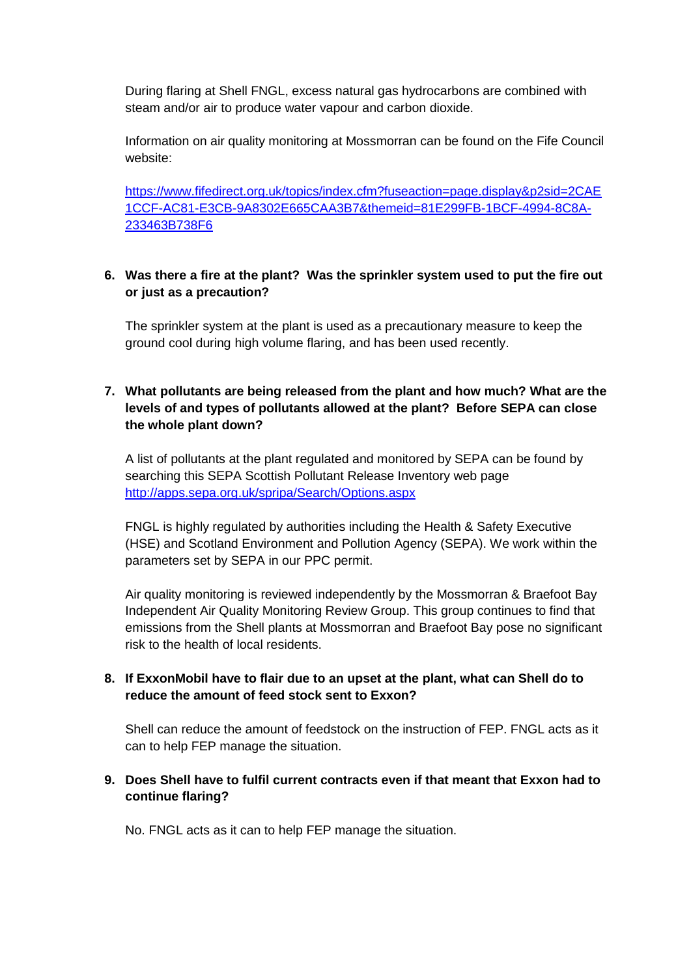During flaring at Shell FNGL, excess natural gas hydrocarbons are combined with steam and/or air to produce water vapour and carbon dioxide.

Information on air quality monitoring at Mossmorran can be found on the Fife Council website:

[https://www.fifedirect.org.uk/topics/index.cfm?fuseaction=page.display&p2sid=2CAE](https://www.fifedirect.org.uk/topics/index.cfm?fuseaction=page.display&p2sid=2CAE1CCF-AC81-E3CB-9A8302E665CAA3B7&themeid=81E299FB-1BCF-4994-8C8A-233463B738F6) [1CCF-AC81-E3CB-9A8302E665CAA3B7&themeid=81E299FB-1BCF-4994-8C8A-](https://www.fifedirect.org.uk/topics/index.cfm?fuseaction=page.display&p2sid=2CAE1CCF-AC81-E3CB-9A8302E665CAA3B7&themeid=81E299FB-1BCF-4994-8C8A-233463B738F6)[233463B738F6](https://www.fifedirect.org.uk/topics/index.cfm?fuseaction=page.display&p2sid=2CAE1CCF-AC81-E3CB-9A8302E665CAA3B7&themeid=81E299FB-1BCF-4994-8C8A-233463B738F6)

#### **6. Was there a fire at the plant? Was the sprinkler system used to put the fire out or just as a precaution?**

The sprinkler system at the plant is used as a precautionary measure to keep the ground cool during high volume flaring, and has been used recently.

#### **7. What pollutants are being released from the plant and how much? What are the levels of and types of pollutants allowed at the plant? Before SEPA can close the whole plant down?**

A list of pollutants at the plant regulated and monitored by SEPA can be found by searching this SEPA Scottish Pollutant Release Inventory web page <http://apps.sepa.org.uk/spripa/Search/Options.aspx>

FNGL is highly regulated by authorities including the Health & Safety Executive (HSE) and Scotland Environment and Pollution Agency (SEPA). We work within the parameters set by SEPA in our PPC permit.

Air quality monitoring is reviewed independently by the Mossmorran & Braefoot Bay Independent Air Quality Monitoring Review Group. This group continues to find that emissions from the Shell plants at Mossmorran and Braefoot Bay pose no significant risk to the health of local residents.

#### **8. If ExxonMobil have to flair due to an upset at the plant, what can Shell do to reduce the amount of feed stock sent to Exxon?**

Shell can reduce the amount of feedstock on the instruction of FEP. FNGL acts as it can to help FEP manage the situation.

#### **9. Does Shell have to fulfil current contracts even if that meant that Exxon had to continue flaring?**

No. FNGL acts as it can to help FEP manage the situation.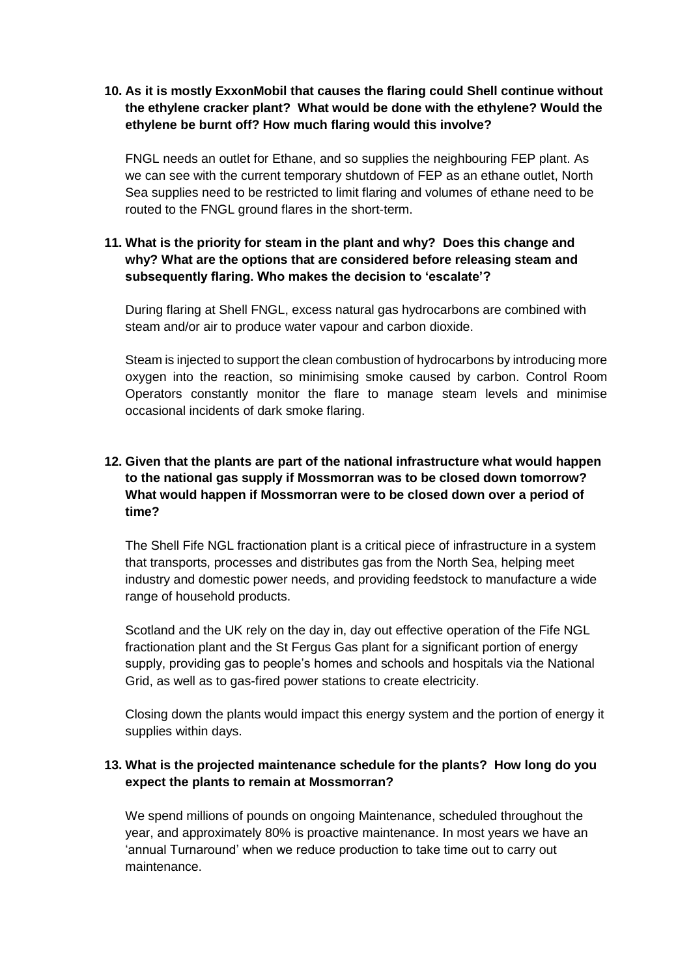#### **10. As it is mostly ExxonMobil that causes the flaring could Shell continue without the ethylene cracker plant? What would be done with the ethylene? Would the ethylene be burnt off? How much flaring would this involve?**

FNGL needs an outlet for Ethane, and so supplies the neighbouring FEP plant. As we can see with the current temporary shutdown of FEP as an ethane outlet, North Sea supplies need to be restricted to limit flaring and volumes of ethane need to be routed to the FNGL ground flares in the short-term.

#### **11. What is the priority for steam in the plant and why? Does this change and why? What are the options that are considered before releasing steam and subsequently flaring. Who makes the decision to 'escalate'?**

During flaring at Shell FNGL, excess natural gas hydrocarbons are combined with steam and/or air to produce water vapour and carbon dioxide.

Steam is injected to support the clean combustion of hydrocarbons by introducing more oxygen into the reaction, so minimising smoke caused by carbon. Control Room Operators constantly monitor the flare to manage steam levels and minimise occasional incidents of dark smoke flaring.

### **12. Given that the plants are part of the national infrastructure what would happen to the national gas supply if Mossmorran was to be closed down tomorrow? What would happen if Mossmorran were to be closed down over a period of time?**

The Shell Fife NGL fractionation plant is a critical piece of infrastructure in a system that transports, processes and distributes gas from the North Sea, helping meet industry and domestic power needs, and providing feedstock to manufacture a wide range of household products.

Scotland and the UK rely on the day in, day out effective operation of the Fife NGL fractionation plant and the St Fergus Gas plant for a significant portion of energy supply, providing gas to people's homes and schools and hospitals via the National Grid, as well as to gas-fired power stations to create electricity.

Closing down the plants would impact this energy system and the portion of energy it supplies within days.

#### **13. What is the projected maintenance schedule for the plants? How long do you expect the plants to remain at Mossmorran?**

We spend millions of pounds on ongoing Maintenance, scheduled throughout the year, and approximately 80% is proactive maintenance. In most years we have an 'annual Turnaround' when we reduce production to take time out to carry out maintenance.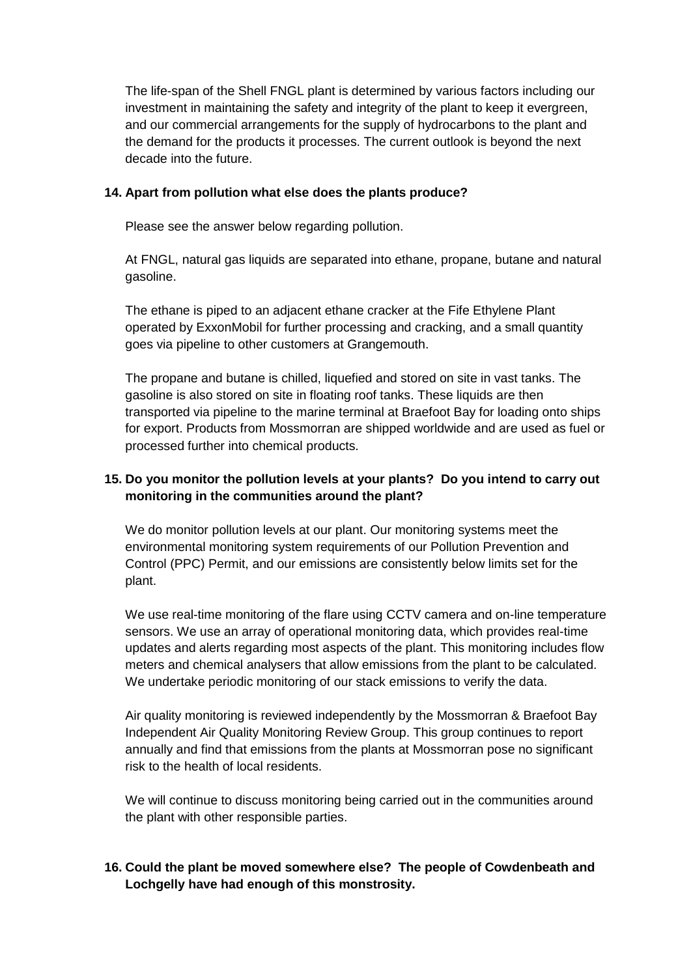The life-span of the Shell FNGL plant is determined by various factors including our investment in maintaining the safety and integrity of the plant to keep it evergreen, and our commercial arrangements for the supply of hydrocarbons to the plant and the demand for the products it processes. The current outlook is beyond the next decade into the future.

#### **14. Apart from pollution what else does the plants produce?**

Please see the answer below regarding pollution.

At FNGL, natural gas liquids are separated into ethane, propane, butane and natural gasoline.

The ethane is piped to an adjacent ethane cracker at the Fife Ethylene Plant operated by ExxonMobil for further processing and cracking, and a small quantity goes via pipeline to other customers at Grangemouth.

The propane and butane is chilled, liquefied and stored on site in vast tanks. The gasoline is also stored on site in floating roof tanks. These liquids are then transported via pipeline to the marine terminal at Braefoot Bay for loading onto ships for export. Products from Mossmorran are shipped worldwide and are used as fuel or processed further into chemical products.

#### **15. Do you monitor the pollution levels at your plants? Do you intend to carry out monitoring in the communities around the plant?**

We do monitor pollution levels at our plant. Our monitoring systems meet the environmental monitoring system requirements of our Pollution Prevention and Control (PPC) Permit, and our emissions are consistently below limits set for the plant.

We use real-time monitoring of the flare using CCTV camera and on-line temperature sensors. We use an array of operational monitoring data, which provides real-time updates and alerts regarding most aspects of the plant. This monitoring includes flow meters and chemical analysers that allow emissions from the plant to be calculated. We undertake periodic monitoring of our stack emissions to verify the data.

Air quality monitoring is reviewed independently by the Mossmorran & Braefoot Bay Independent Air Quality Monitoring Review Group. This group continues to report annually and find that emissions from the plants at Mossmorran pose no significant risk to the health of local residents.

We will continue to discuss monitoring being carried out in the communities around the plant with other responsible parties.

### **16. Could the plant be moved somewhere else? The people of Cowdenbeath and Lochgelly have had enough of this monstrosity.**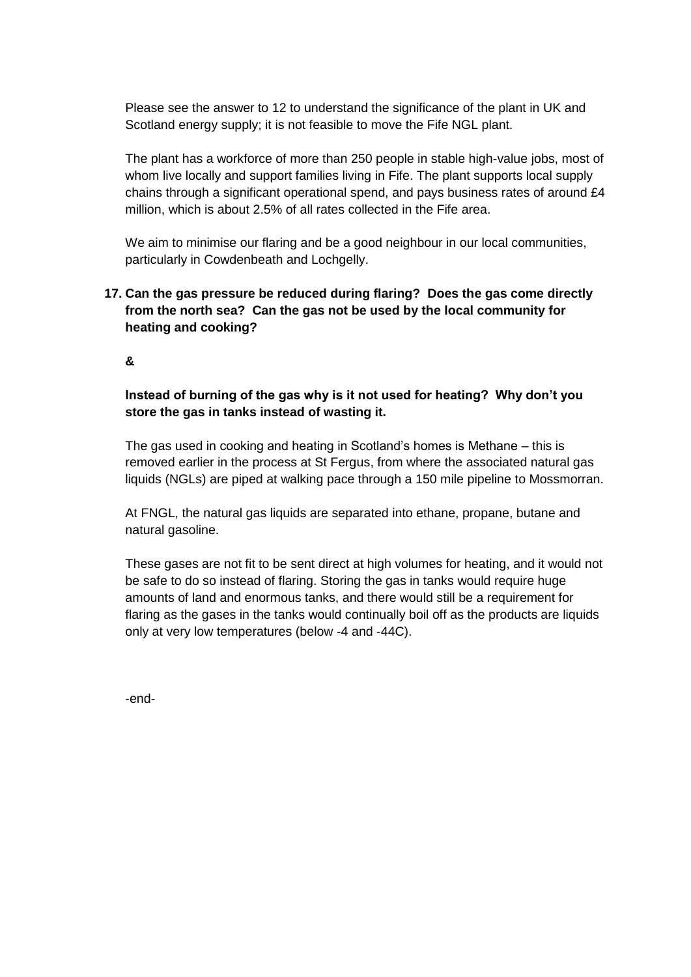Please see the answer to 12 to understand the significance of the plant in UK and Scotland energy supply; it is not feasible to move the Fife NGL plant.

The plant has a workforce of more than 250 people in stable high-value jobs, most of whom live locally and support families living in Fife. The plant supports local supply chains through a significant operational spend, and pays business rates of around £4 million, which is about 2.5% of all rates collected in the Fife area.

We aim to minimise our flaring and be a good neighbour in our local communities, particularly in Cowdenbeath and Lochgelly.

### **17. Can the gas pressure be reduced during flaring? Does the gas come directly from the north sea? Can the gas not be used by the local community for heating and cooking?**

**&** 

#### **Instead of burning of the gas why is it not used for heating? Why don't you store the gas in tanks instead of wasting it.**

The gas used in cooking and heating in Scotland's homes is Methane – this is removed earlier in the process at St Fergus, from where the associated natural gas liquids (NGLs) are piped at walking pace through a 150 mile pipeline to Mossmorran.

At FNGL, the natural gas liquids are separated into ethane, propane, butane and natural gasoline.

These gases are not fit to be sent direct at high volumes for heating, and it would not be safe to do so instead of flaring. Storing the gas in tanks would require huge amounts of land and enormous tanks, and there would still be a requirement for flaring as the gases in the tanks would continually boil off as the products are liquids only at very low temperatures (below -4 and -44C).

-end-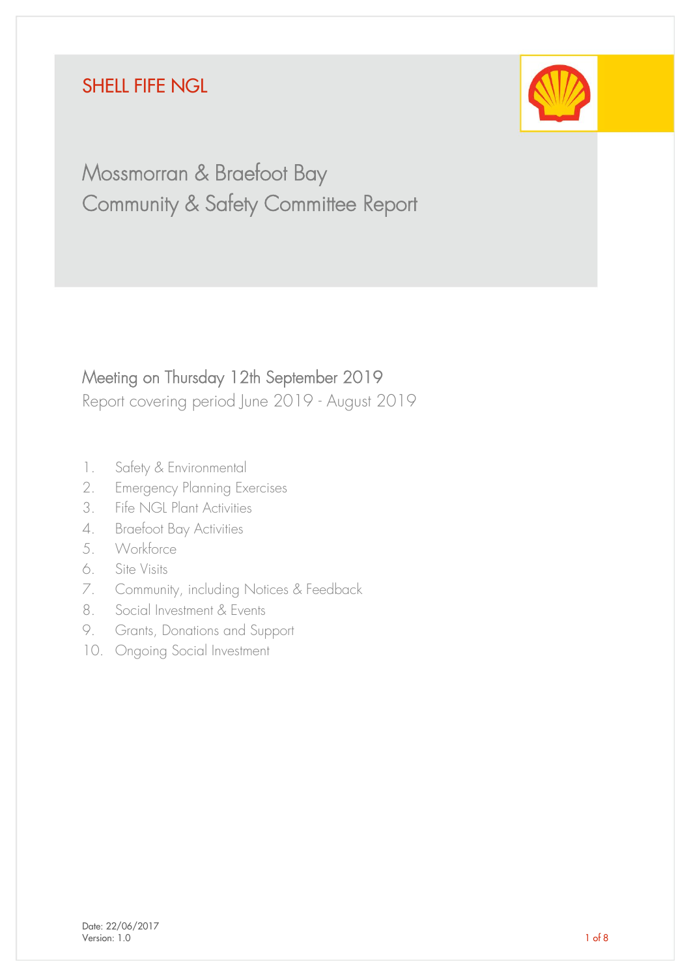# SHELL FIFE NGL



# Mossmorran & Braefoot Bay Community & Safety Committee Report

# Meeting on Thursday 12th September 2019

Report covering period June 2019 - August 2019

- 1. Safety & Environmental
- 2. Emergency Planning Exercises
- 3. Fife NGL Plant Activities
- 4. Braefoot Bay Activities
- 5. Workforce
- 6. Site Visits
- 7. Community, including Notices & Feedback
- 8. Social Investment & Events
- 9. Grants, Donations and Support
- 10. Ongoing Social Investment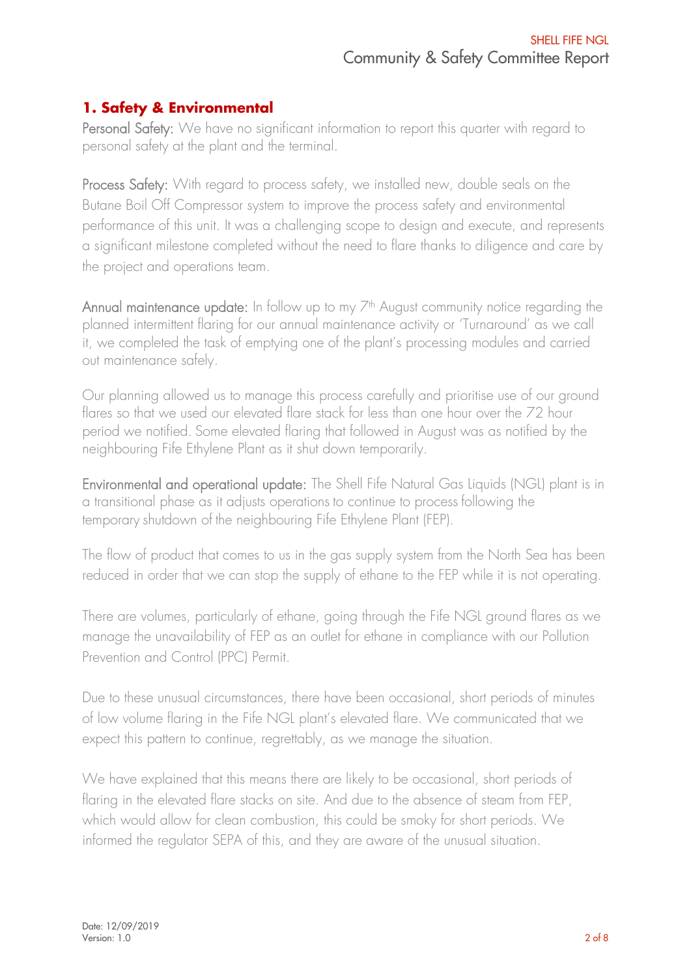## **1. Safety & Environmental**

Personal Safety: We have no significant information to report this quarter with regard to personal safety at the plant and the terminal.

Process Safety: With regard to process safety, we installed new, double seals on the Butane Boil Off Compressor system to improve the process safety and environmental performance of this unit. It was a challenging scope to design and execute, and represents a significant milestone completed without the need to flare thanks to diligence and care by the project and operations team.

Annual maintenance update: In follow up to my  $Z^{th}$  August community notice regarding the planned intermittent flaring for our annual maintenance activity or 'Turnaround' as we call it, we completed the task of emptying one of the plant's processing modules and carried out maintenance safely.

Our planning allowed us to manage this process carefully and prioritise use of our ground flares so that we used our elevated flare stack for less than one hour over the 72 hour period we notified. Some elevated flaring that followed in August was as notified by the neighbouring Fife Ethylene Plant as it shut down temporarily.

Environmental and operational update: The Shell Fife Natural Gas Liquids (NGL) plant is in a transitional phase as it adjusts operations to continue to process following the temporary shutdown of the neighbouring Fife Ethylene Plant (FEP).

The flow of product that comes to us in the gas supply system from the North Sea has been reduced in order that we can stop the supply of ethane to the FEP while it is not operating.

There are volumes, particularly of ethane, going through the Fife NGL ground flares as we manage the unavailability of FEP as an outlet for ethane in compliance with our Pollution Prevention and Control (PPC) Permit.

Due to these unusual circumstances, there have been occasional, short periods of minutes of low volume flaring in the Fife NGL plant's elevated flare. We communicated that we expect this pattern to continue, regrettably, as we manage the situation.

We have explained that this means there are likely to be occasional, short periods of flaring in the elevated flare stacks on site. And due to the absence of steam from FEP, which would allow for clean combustion, this could be smoky for short periods. We informed the regulator SEPA of this, and they are aware of the unusual situation.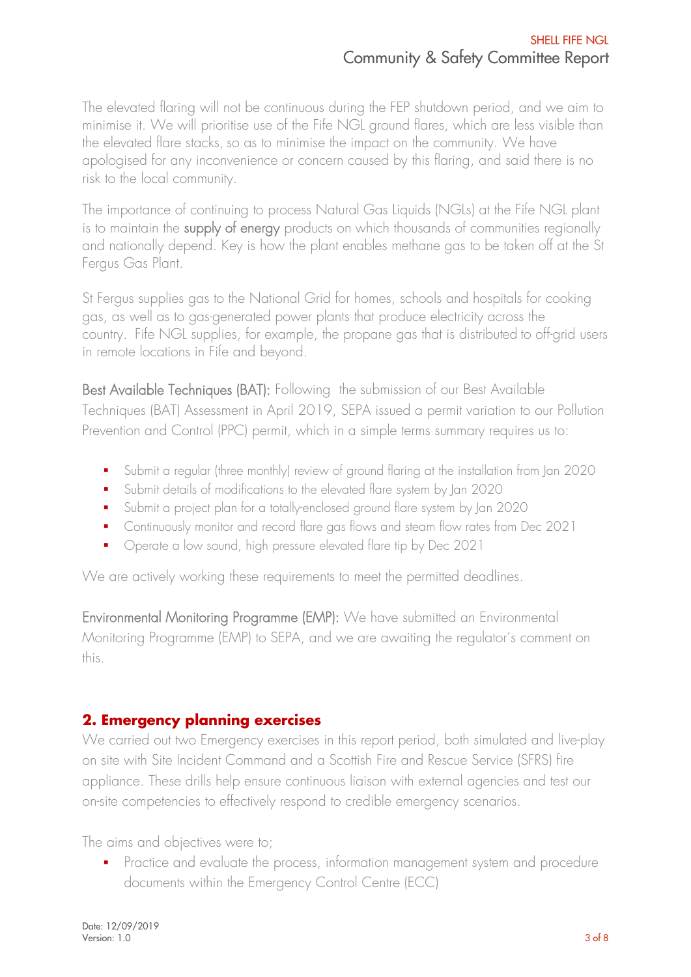The elevated flaring will not be continuous during the FEP shutdown period, and we aim to minimise it. We will prioritise use of the Fife NGL ground flares, which are less visible than the elevated flare stacks, so as to minimise the impact on the community. We have apologised for any inconvenience or concern caused by this flaring, and said there is no risk to the local community.

The importance of continuing to process Natural Gas Liquids (NGLs) at the Fife NGL plant is to maintain the supply of energy products on which thousands of communities regionally and nationally depend. Key is how the plant enables methane gas to be taken off at the St Fergus Gas Plant.

St Fergus supplies gas to the National Grid for homes, schools and hospitals for cooking gas, as well as to gas-generated power plants that produce electricity across the country. Fife NGL supplies, for example, the propane gas that is distributed to off-grid users in remote locations in Fife and beyond.

Best Available Techniques (BAT): Following the submission of our Best Available Techniques (BAT) Assessment in April 2019, SEPA issued a permit variation to our Pollution Prevention and Control (PPC) permit, which in a simple terms summary requires us to:

- Submit a regular (three monthly) review of ground flaring at the installation from Jan 2020
- Submit details of modifications to the elevated flare system by Jan 2020
- Submit a project plan for a totally-enclosed ground flare system by Jan 2020
- Continuously monitor and record flare gas flows and steam flow rates from Dec 2021
- Operate a low sound, high pressure elevated flare tip by Dec 2021

We are actively working these requirements to meet the permitted deadlines.

Environmental Monitoring Programme (EMP): We have submitted an Environmental Monitoring Programme (EMP) to SEPA, and we are awaiting the regulator's comment on this.

# **2. Emergency planning exercises**

We carried out two Emergency exercises in this report period, both simulated and live-play on site with Site Incident Command and a Scottish Fire and Rescue Service (SFRS) fire appliance. These drills help ensure continuous liaison with external agencies and test our on-site competencies to effectively respond to credible emergency scenarios.

The aims and objectives were to;

**•** Practice and evaluate the process, information management system and procedure documents within the Emergency Control Centre (ECC)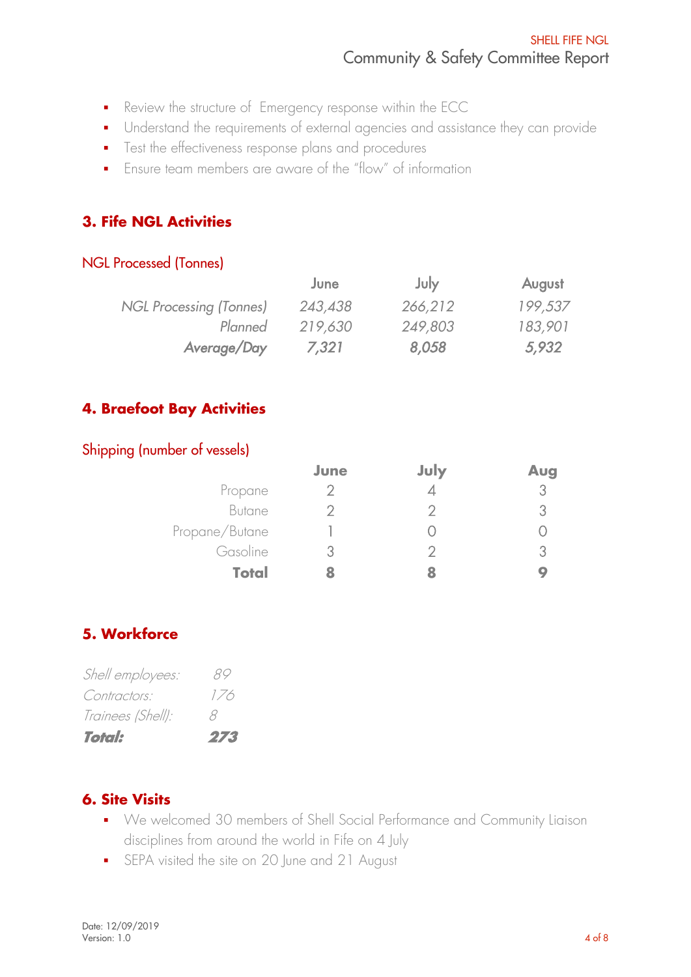- Review the structure of Emergency response within the ECC
- Understand the requirements of external agencies and assistance they can provide
- Test the effectiveness response plans and procedures
- Fnsure team members are aware of the "flow" of information

# **3. Fife NGL Activities**

## NGL Processed (Tonnes)

|                                | June    | July    | August  |
|--------------------------------|---------|---------|---------|
| <b>NGL Processing (Tonnes)</b> | 243,438 | 266,212 | 199,537 |
| Planned                        | 219,630 | 249,803 | 183,901 |
| Average/Day                    | 7,321   | 8,058   | 5,932   |

## **4. Braefoot Bay Activities**

## Shipping (number of vessels)

|                | June | July | Aug |
|----------------|------|------|-----|
| Propane        |      |      | 3.  |
| Butane         |      |      |     |
| Propane/Butane |      |      |     |
| Gasoline       |      |      |     |
| <b>Total</b>   |      |      |     |

## **5. Workforce**

| Shell employees:  | 89  |
|-------------------|-----|
| Contractors:      | 1/6 |
| Trainees (Shell): | X   |
| <b>Total:</b>     | 273 |

## **6. Site Visits**

- We welcomed 30 members of Shell Social Performance and Community Liaison disciplines from around the world in Fife on 4 July
- **•** SEPA visited the site on 20 June and 21 August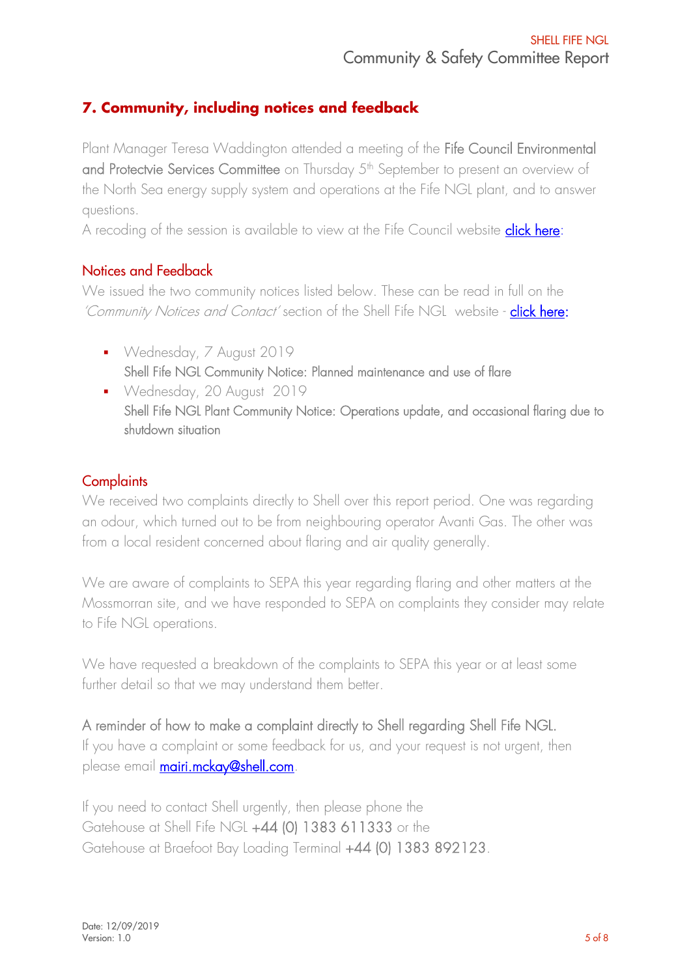# **7. Community, including notices and feedback**

Plant Manager Teresa Waddington attended a meeting of the Fife Council Environmental and Protectvie Services Committee on Thursday 5<sup>th</sup> September to present an overview of the North Sea energy supply system and operations at the Fife NGL plant, and to answer questions.

A recoding of the session is available to view at the Fife Council website *click here*:

## Notices and Feedback

We issued the two community notices listed below. These can be read in full on the 'Community Notices and Contact' section of the Shell Fife NGL website - [click here:](https://www.shell.co.uk/energy-and-innovation/meeting-todays-demands/processing-oil-and-gas/shell-fife-ngl/contact.html#iframe=L2Zvcm1zL2VuX2diX2NvbnRhY3R1cw==)

- Wednesday, 7 August 2019 Shell Fife NGL Community Notice: Planned maintenance and use of flare
- Wednesday, 20 August 2019 Shell Fife NGL Plant Community Notice: Operations update, and occasional flaring due to shutdown situation

## **Complaints**

We received two complaints directly to Shell over this report period. One was regarding an odour, which turned out to be from neighbouring operator Avanti Gas. The other was from a local resident concerned about flaring and air quality generally.

We are aware of complaints to SEPA this year regarding flaring and other matters at the Mossmorran site, and we have responded to SEPA on complaints they consider may relate to Fife NGL operations.

We have requested a breakdown of the complaints to SEPA this year or at least some further detail so that we may understand them better.

A reminder of how to make a complaint directly to Shell regarding Shell Fife NGL. If you have a complaint or some feedback for us, and your request is not urgent, then please email **mairi.mckay@shell.com**.

If you need to contact Shell urgently, then please phone the Gatehouse at Shell Fife NGL +44 (0) 1383 611333 or the Gatehouse at Braefoot Bay Loading Terminal +44 (0) 1383 892123.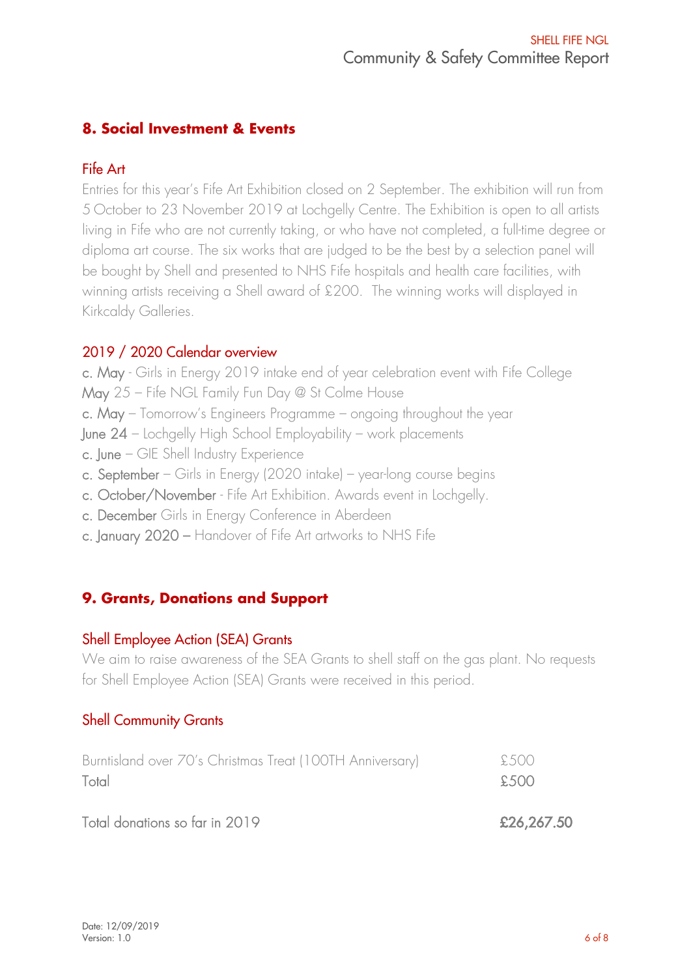## **8. Social Investment & Events**

## Fife Art

Entries for this year's Fife Art Exhibition closed on 2 September. The exhibition will run from 5 October to 23 November 2019 at Lochgelly Centre. The Exhibition is open to all artists living in Fife who are not currently taking, or who have not completed, a full-time degree or diploma art course. The six works that are judged to be the best by a selection panel will be bought by Shell and presented to NHS Fife hospitals and health care facilities, with winning artists receiving a Shell award of £200. The winning works will displayed in Kirkcaldy Galleries.

## 2019 / 2020 Calendar overview

c. May - Girls in Energy 2019 intake end of year celebration event with Fife College May 25 – Fife NGL Family Fun Day @ St Colme House c. May – Tomorrow's Engineers Programme – ongoing throughout the year June 24 – Lochgelly High School Employability – work placements c. June – GIE Shell Industry Experience c. September – Girls in Energy (2020 intake) – year-long course begins c. October/November - Fife Art Exhibition. Awards event in Lochgelly. c. December Girls in Energy Conference in Aberdeen c. January 2020 – Handover of Fife Art artworks to NHS Fife

## **9. Grants, Donations and Support**

## Shell Employee Action (SEA) Grants

We aim to raise awareness of the SEA Grants to shell staff on the gas plant. No requests for Shell Employee Action (SEA) Grants were received in this period.

## Shell Community Grants

| Burntisland over 70's Christmas Treat (100TH Anniversary) | £500       |
|-----------------------------------------------------------|------------|
| Total                                                     | £500       |
| Total donations so far in 2019                            | £26,267.50 |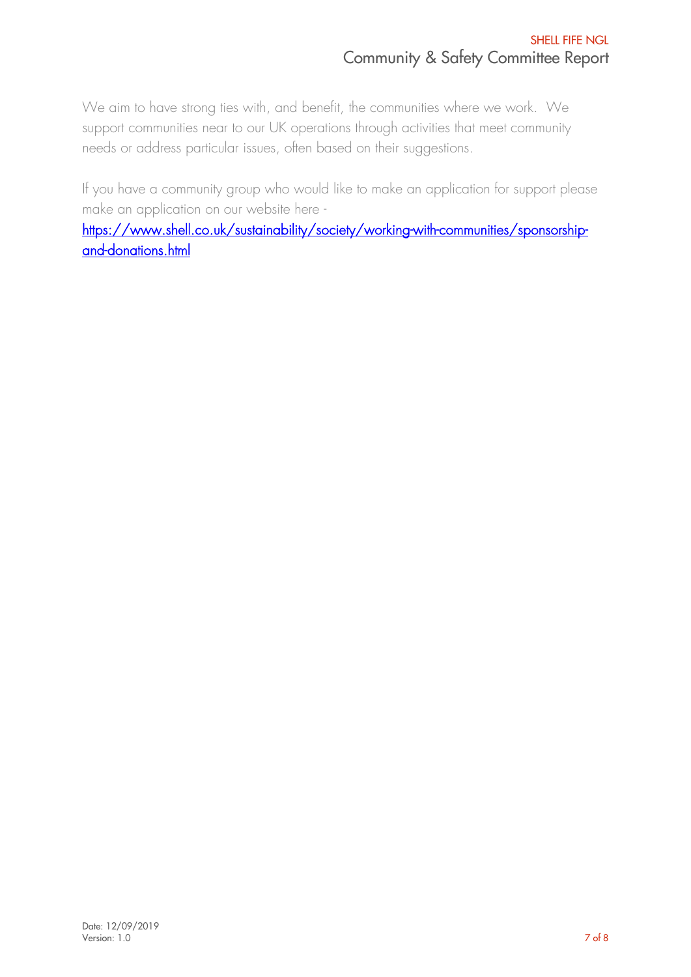We aim to have strong ties with, and benefit, the communities where we work. We support communities near to our UK operations through activities that meet community needs or address particular issues, often based on their suggestions.

If you have a community group who would like to make an application for support please make an application on our website here -

[https://www.shell.co.uk/sustainability/society/working-with-communities/sponsorship](https://www.shell.co.uk/sustainability/society/working-with-communities/sponsorship-and-donations.html)[and-donations.html](https://www.shell.co.uk/sustainability/society/working-with-communities/sponsorship-and-donations.html)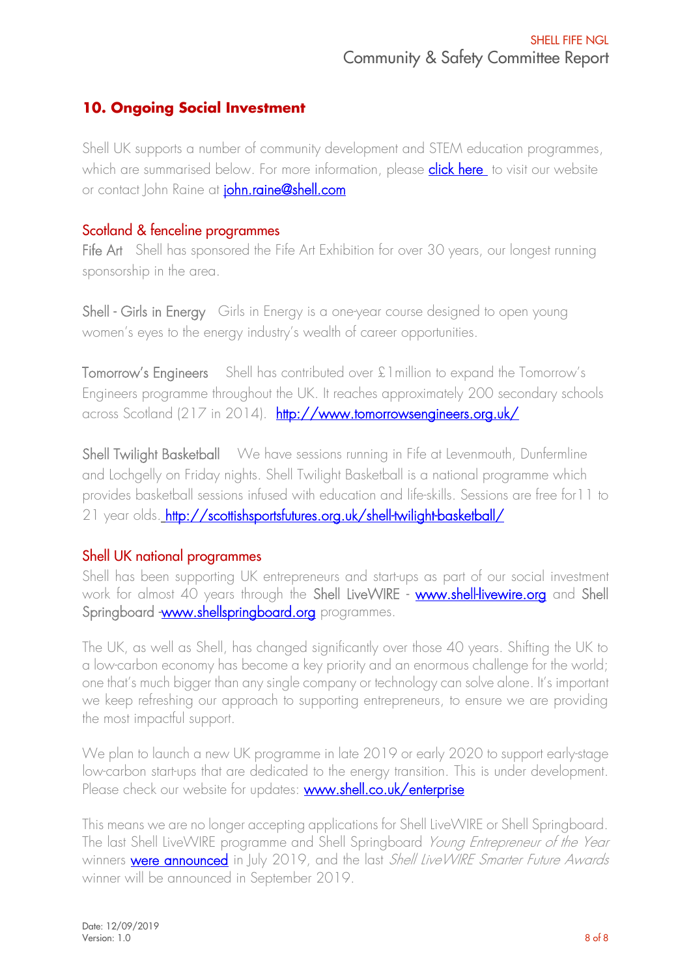## **10. Ongoing Social Investment**

Shell UK supports a number of community development and STEM education programmes, which are summarised below. For more information, please **click here** to visit our website or contact John Raine at *[john.raine@shell.com](mailto:john.raine@shell.com)* 

## Scotland & fenceline programmes

Fife Art Shell has sponsored the Fife Art Exhibition for over 30 years, our longest running sponsorship in the area.

Shell - Girls in Energy Girls in Energy is a one-year course designed to open young women's eyes to the energy industry's wealth of career opportunities.

Tomorrow's Engineers Shell has contributed over £1million to expand the Tomorrow's Engineers programme throughout the UK. It reaches approximately 200 secondary schools across Scotland (217 in 2014). <http://www.tomorrowsengineers.org.uk/>

Shell Twilight Basketball We have sessions running in Fife at Levenmouth, Dunfermline and Lochgelly on Friday nights. Shell Twilight Basketball is a national programme which provides basketball sessions infused with education and life-skills. Sessions are free for11 to 21 year olds. http://scottishsportsfutures.org.uk/shell-twilight-basketball/

## Shell UK national programmes

Shell has been supporting UK entrepreneurs and start-ups as part of our social investment work for almost 40 years through the Shell LiveWIRE - [www.shell-livewire.org](http://www.shell-livewire.org/) and Shell Springboard [-www.shellspringboard.org](http://www.shellspringboard.org/) programmes.

The UK, as well as Shell, has changed significantly over those 40 years. Shifting the UK to a low-carbon economy has become a key priority and an enormous challenge for the world; one that's much bigger than any single company or technology can solve alone. It's important we keep refreshing our approach to supporting entrepreneurs, to ensure we are providing the most impactful support.

We plan to launch a new UK programme in late 2019 or early 2020 to support early-stage low-carbon start-ups that are dedicated to the energy transition. This is under development. Please check our website for updates: [www.shell.co.uk/enterprise](http://www.shell.co.uk/enterprise)

This means we are no longer accepting applications for Shell LiveWIRE or Shell Springboard. The last Shell LiveWIRE programme and Shell Springboard Young Entrepreneur of the Year winners **[were announced](https://www.shell-livewire.org/news/1801/farm-hand-and-lettus-grow-win-national-shell-enterprise-development-awards)** in July 2019, and the last Shell Live WIRE Smarter Future Awards winner will be announced in September 2019.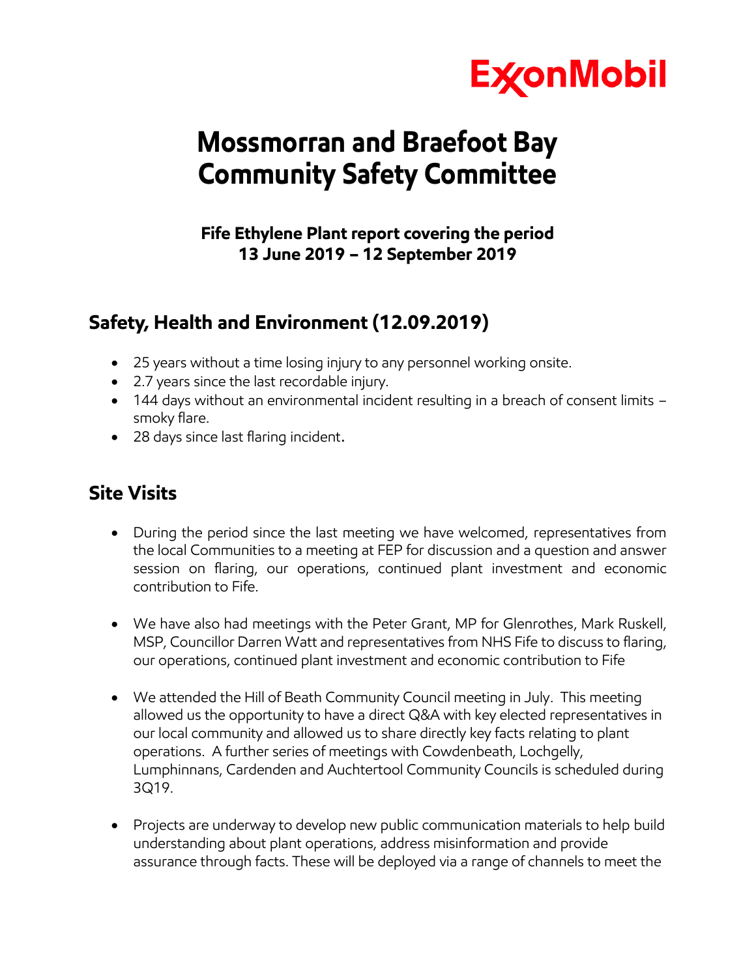

# **Mossmorran and Braefoot Bay Community Safety Committee**

## **Fife Ethylene Plant report covering the period 13 June 2019 – 12 September 2019**

# **Safety, Health and Environment (12.09.2019)**

- 25 years without a time losing injury to any personnel working onsite.
- 2.7 years since the last recordable injury.
- 144 days without an environmental incident resulting in a breach of consent limits smoky flare.
- 28 days since last flaring incident.

# **Site Visits**

- During the period since the last meeting we have welcomed, representatives from the local Communities to a meeting at FEP for discussion and a question and answer session on flaring, our operations, continued plant investment and economic contribution to Fife.
- We have also had meetings with the Peter Grant, MP for Glenrothes, Mark Ruskell, MSP, Councillor Darren Watt and representatives from NHS Fife to discuss to flaring, our operations, continued plant investment and economic contribution to Fife
- We attended the Hill of Beath Community Council meeting in July. This meeting allowed us the opportunity to have a direct Q&A with key elected representatives in our local community and allowed us to share directly key facts relating to plant operations. A further series of meetings with Cowdenbeath, Lochgelly, Lumphinnans, Cardenden and Auchtertool Community Councils is scheduled during 3Q19.
- Projects are underway to develop new public communication materials to help build understanding about plant operations, address misinformation and provide assurance through facts. These will be deployed via a range of channels to meet the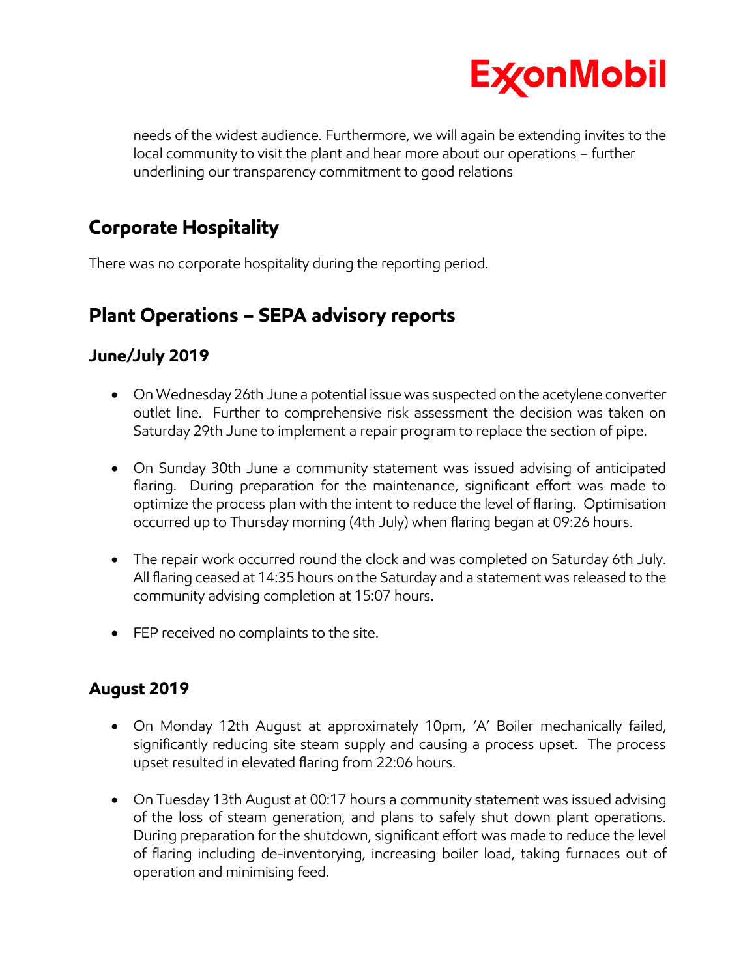

needs of the widest audience. Furthermore, we will again be extending invites to the local community to visit the plant and hear more about our operations – further underlining our transparency commitment to good relations

# **Corporate Hospitality**

There was no corporate hospitality during the reporting period.

# **Plant Operations – SEPA advisory reports**

## **June/July 2019**

- On Wednesday 26th June a potential issue was suspected on the acetylene converter outlet line. Further to comprehensive risk assessment the decision was taken on Saturday 29th June to implement a repair program to replace the section of pipe.
- On Sunday 30th June a community statement was issued advising of anticipated flaring. During preparation for the maintenance, significant effort was made to optimize the process plan with the intent to reduce the level of flaring. Optimisation occurred up to Thursday morning (4th July) when flaring began at 09:26 hours.
- The repair work occurred round the clock and was completed on Saturday 6th July. All flaring ceased at 14:35 hours on the Saturday and a statement was released to the community advising completion at 15:07 hours.
- FEP received no complaints to the site.

## **August 2019**

- On Monday 12th August at approximately 10pm, 'A' Boiler mechanically failed, significantly reducing site steam supply and causing a process upset. The process upset resulted in elevated flaring from 22:06 hours.
- On Tuesday 13th August at 00:17 hours a community statement was issued advising of the loss of steam generation, and plans to safely shut down plant operations. During preparation for the shutdown, significant effort was made to reduce the level of flaring including de-inventorying, increasing boiler load, taking furnaces out of operation and minimising feed.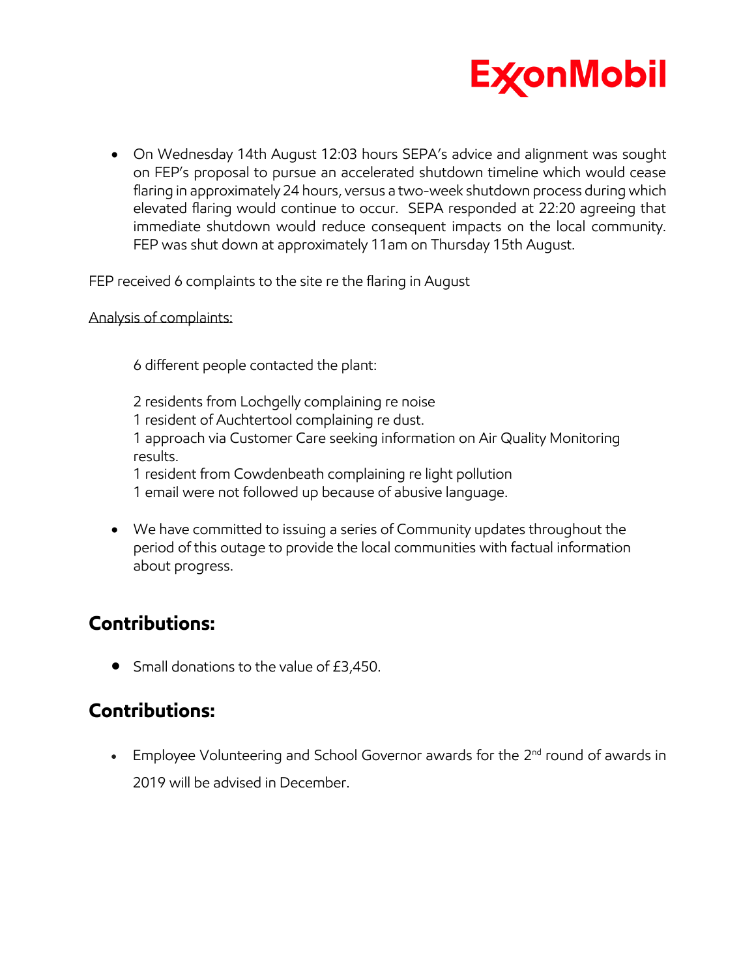

 On Wednesday 14th August 12:03 hours SEPA's advice and alignment was sought on FEP's proposal to pursue an accelerated shutdown timeline which would cease flaring in approximately 24 hours, versus a two-week shutdown process during which elevated flaring would continue to occur. SEPA responded at 22:20 agreeing that immediate shutdown would reduce consequent impacts on the local community. FEP was shut down at approximately 11am on Thursday 15th August.

FEP received 6 complaints to the site re the flaring in August

#### Analysis of complaints:

6 different people contacted the plant:

2 residents from Lochgelly complaining re noise 1 resident of Auchtertool complaining re dust. 1 approach via Customer Care seeking information on Air Quality Monitoring results. 1 resident from Cowdenbeath complaining re light pollution 1 email were not followed up because of abusive language.

 We have committed to issuing a series of Community updates throughout the period of this outage to provide the local communities with factual information about progress.

# **Contributions:**

• Small donations to the value of £3,450.

# **Contributions:**

**Employee Volunteering and School Governor awards for the**  $2^{nd}$  **round of awards in** 2019 will be advised in December.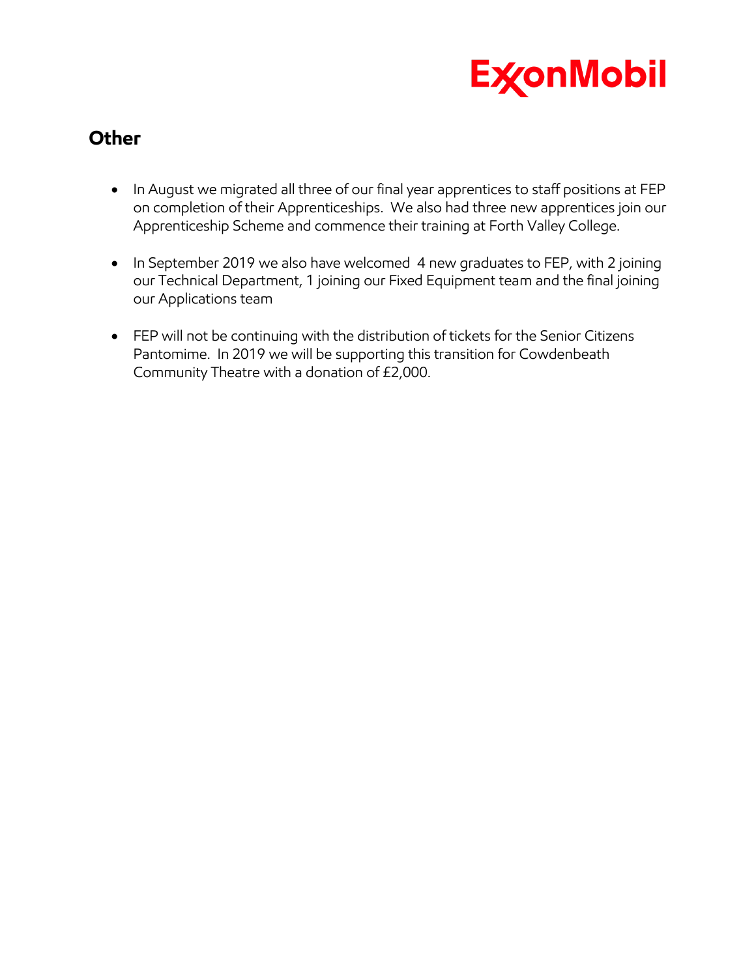

# **Other**

- In August we migrated all three of our final year apprentices to staff positions at FEP on completion of their Apprenticeships. We also had three new apprentices join our Apprenticeship Scheme and commence their training at Forth Valley College.
- In September 2019 we also have welcomed 4 new graduates to FEP, with 2 joining our Technical Department, 1 joining our Fixed Equipment team and the final joining our Applications team
- FEP will not be continuing with the distribution of tickets for the Senior Citizens Pantomime. In 2019 we will be supporting this transition for Cowdenbeath Community Theatre with a donation of £2,000.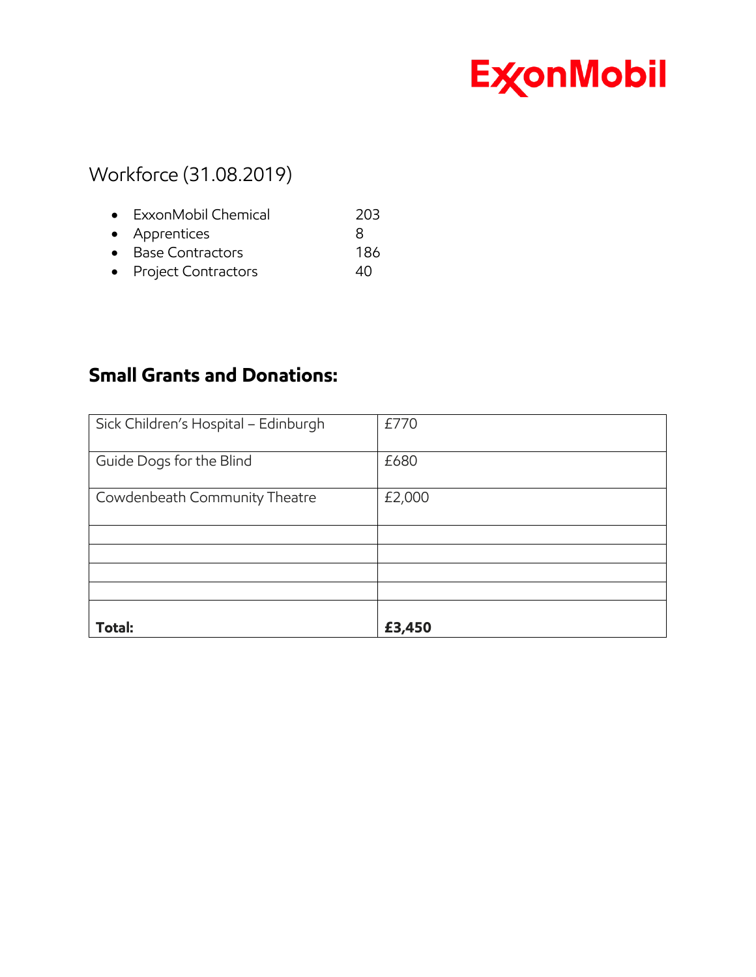

# Workforce (31.08.2019)

| • ExxonMobil Chemical | 203 |
|-----------------------|-----|
| • Apprentices         |     |
| • Base Contractors    | 186 |
|                       |     |

• Project Contractors 40

# **Small Grants and Donations:**

| Sick Children's Hospital - Edinburgh | £770   |
|--------------------------------------|--------|
| Guide Dogs for the Blind             | £680   |
| Cowdenbeath Community Theatre        | £2,000 |
|                                      |        |
|                                      |        |
|                                      |        |
|                                      |        |
|                                      |        |
| Total:                               | £3,450 |